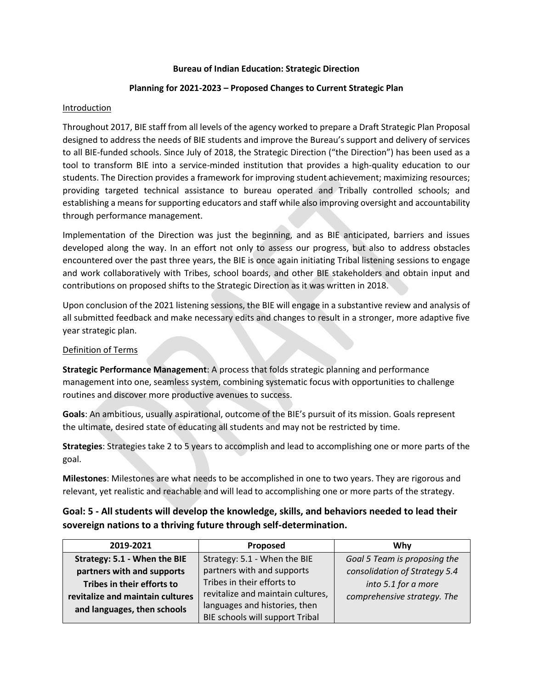#### **Bureau of Indian Education: Strategic Direction**

## **Planning for 2021-2023 – Proposed Changes to Current Strategic Plan**

## **Introduction**

Throughout 2017, BIE staff from all levels of the agency worked to prepare a Draft Strategic Plan Proposal designed to address the needs of BIE students and improve the Bureau's support and delivery of services to all BIE-funded schools. Since July of 2018, the Strategic Direction ("the Direction") has been used as a tool to transform BIE into a service-minded institution that provides a high-quality education to our students. The Direction provides a framework for improving student achievement; maximizing resources; providing targeted technical assistance to bureau operated and Tribally controlled schools; and establishing a means for supporting educators and staff while also improving oversight and accountability through performance management.

Implementation of the Direction was just the beginning, and as BIE anticipated, barriers and issues developed along the way. In an effort not only to assess our progress, but also to address obstacles encountered over the past three years, the BIE is once again initiating Tribal listening sessions to engage and work collaboratively with Tribes, school boards, and other BIE stakeholders and obtain input and contributions on proposed shifts to the Strategic Direction as it was written in 2018.

Upon conclusion of the 2021 listening sessions, the BIE will engage in a substantive review and analysis of all submitted feedback and make necessary edits and changes to result in a stronger, more adaptive five year strategic plan.

## Definition of Terms

**Strategic Performance Management**: A process that folds strategic planning and performance management into one, seamless system, combining systematic focus with opportunities to challenge routines and discover more productive avenues to success.

**Goals**: An ambitious, usually aspirational, outcome of the BIE's pursuit of its mission. Goals represent the ultimate, desired state of educating all students and may not be restricted by time.

**Strategies**: Strategies take 2 to 5 years to accomplish and lead to accomplishing one or more parts of the goal.

**Milestones**: Milestones are what needs to be accomplished in one to two years. They are rigorous and relevant, yet realistic and reachable and will lead to accomplishing one or more parts of the strategy.

# **Goal: 5 - All students will develop the knowledge, skills, and behaviors needed to lead their sovereign nations to a thriving future through self-determination.**

| 2019-2021                        | Proposed                          | Whv                           |
|----------------------------------|-----------------------------------|-------------------------------|
| Strategy: 5.1 - When the BIE     | Strategy: 5.1 - When the BIE      | Goal 5 Team is proposing the  |
| partners with and supports       | partners with and supports        | consolidation of Strategy 5.4 |
| Tribes in their efforts to       | Tribes in their efforts to        | into 5.1 for a more           |
| revitalize and maintain cultures | revitalize and maintain cultures, | comprehensive strategy. The   |
| and languages, then schools      | languages and histories, then     |                               |
|                                  | BIE schools will support Tribal   |                               |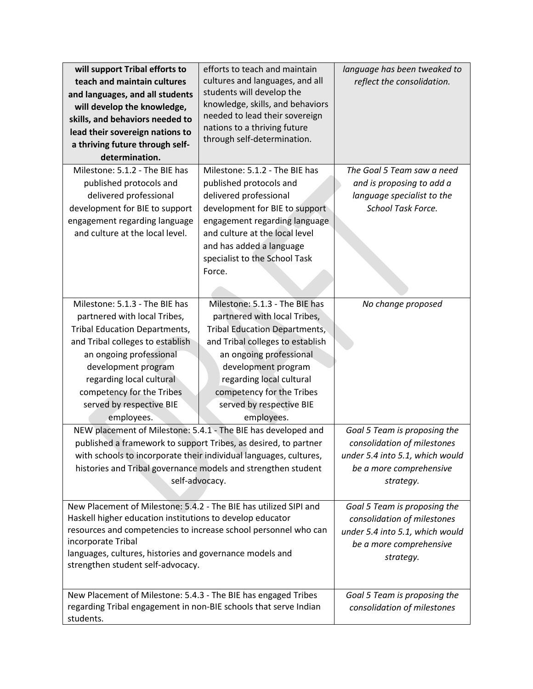| will support Tribal efforts to                                    | efforts to teach and maintain                                     | language has been tweaked to    |
|-------------------------------------------------------------------|-------------------------------------------------------------------|---------------------------------|
| teach and maintain cultures                                       | cultures and languages, and all                                   | reflect the consolidation.      |
| and languages, and all students                                   | students will develop the                                         |                                 |
| will develop the knowledge,                                       | knowledge, skills, and behaviors                                  |                                 |
| skills, and behaviors needed to                                   | needed to lead their sovereign                                    |                                 |
| lead their sovereign nations to                                   | nations to a thriving future                                      |                                 |
| a thriving future through self-                                   | through self-determination.                                       |                                 |
| determination.                                                    |                                                                   |                                 |
| Milestone: 5.1.2 - The BIE has                                    | Milestone: 5.1.2 - The BIE has                                    | The Goal 5 Team saw a need      |
| published protocols and                                           | published protocols and                                           | and is proposing to add a       |
| delivered professional                                            | delivered professional                                            | language specialist to the      |
| development for BIE to support                                    | development for BIE to support                                    | School Task Force.              |
| engagement regarding language                                     | engagement regarding language                                     |                                 |
| and culture at the local level.                                   | and culture at the local level                                    |                                 |
|                                                                   | and has added a language                                          |                                 |
|                                                                   | specialist to the School Task                                     |                                 |
|                                                                   | Force.                                                            |                                 |
|                                                                   |                                                                   |                                 |
|                                                                   |                                                                   |                                 |
| Milestone: 5.1.3 - The BIE has                                    | Milestone: 5.1.3 - The BIE has                                    | No change proposed              |
| partnered with local Tribes,                                      | partnered with local Tribes,                                      |                                 |
| <b>Tribal Education Departments,</b>                              | <b>Tribal Education Departments,</b>                              |                                 |
| and Tribal colleges to establish                                  | and Tribal colleges to establish                                  |                                 |
| an ongoing professional                                           | an ongoing professional                                           |                                 |
| development program                                               | development program                                               |                                 |
| regarding local cultural                                          | regarding local cultural                                          |                                 |
| competency for the Tribes                                         | competency for the Tribes                                         |                                 |
| served by respective BIE                                          | served by respective BIE                                          |                                 |
| employees.                                                        | employees.                                                        |                                 |
|                                                                   | NEW placement of Milestone: 5.4.1 - The BIE has developed and     | Goal 5 Team is proposing the    |
|                                                                   | published a framework to support Tribes, as desired, to partner   | consolidation of milestones     |
|                                                                   | with schools to incorporate their individual languages, cultures, | under 5.4 into 5.1, which would |
|                                                                   | histories and Tribal governance models and strengthen student     | be a more comprehensive         |
|                                                                   | self-advocacy.                                                    | strategy.                       |
|                                                                   |                                                                   |                                 |
| New Placement of Milestone: 5.4.2 - The BIE has utilized SIPI and |                                                                   | Goal 5 Team is proposing the    |
| Haskell higher education institutions to develop educator         |                                                                   | consolidation of milestones     |
| resources and competencies to increase school personnel who can   |                                                                   | under 5.4 into 5.1, which would |
| incorporate Tribal                                                |                                                                   | be a more comprehensive         |
| languages, cultures, histories and governance models and          |                                                                   | strategy.                       |
| strengthen student self-advocacy.                                 |                                                                   |                                 |
|                                                                   |                                                                   |                                 |
| New Placement of Milestone: 5.4.3 - The BIE has engaged Tribes    |                                                                   | Goal 5 Team is proposing the    |
| regarding Tribal engagement in non-BIE schools that serve Indian  |                                                                   | consolidation of milestones     |
| students.                                                         |                                                                   |                                 |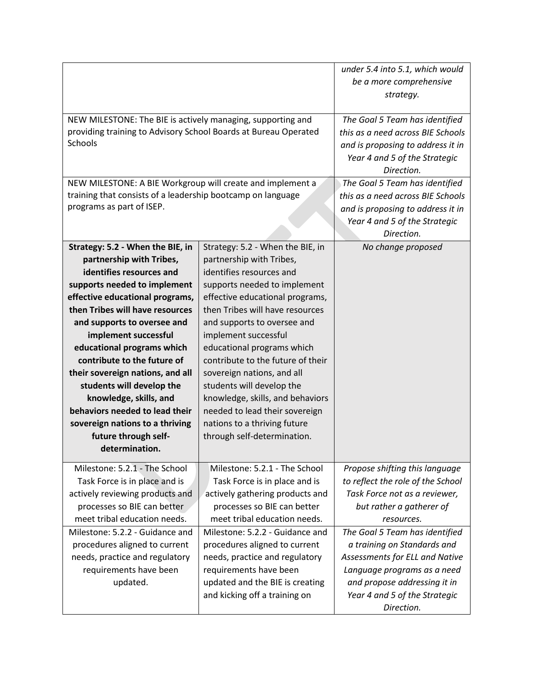|                                                                 |                                   | under 5.4 into 5.1, which would   |
|-----------------------------------------------------------------|-----------------------------------|-----------------------------------|
|                                                                 |                                   | be a more comprehensive           |
|                                                                 |                                   | strategy.                         |
|                                                                 |                                   |                                   |
| NEW MILESTONE: The BIE is actively managing, supporting and     |                                   | The Goal 5 Team has identified    |
| providing training to Advisory School Boards at Bureau Operated |                                   | this as a need across BIE Schools |
| Schools                                                         |                                   | and is proposing to address it in |
|                                                                 |                                   | Year 4 and 5 of the Strategic     |
|                                                                 |                                   | Direction.                        |
| NEW MILESTONE: A BIE Workgroup will create and implement a      |                                   | The Goal 5 Team has identified    |
| training that consists of a leadership bootcamp on language     |                                   | this as a need across BIE Schools |
| programs as part of ISEP.                                       |                                   | and is proposing to address it in |
|                                                                 |                                   | Year 4 and 5 of the Strategic     |
|                                                                 |                                   | Direction.                        |
| Strategy: 5.2 - When the BIE, in                                | Strategy: 5.2 - When the BIE, in  | No change proposed                |
| partnership with Tribes,                                        | partnership with Tribes,          |                                   |
| identifies resources and                                        | identifies resources and          |                                   |
| supports needed to implement                                    | supports needed to implement      |                                   |
| effective educational programs,                                 | effective educational programs,   |                                   |
| then Tribes will have resources                                 | then Tribes will have resources   |                                   |
| and supports to oversee and                                     | and supports to oversee and       |                                   |
| implement successful                                            | implement successful              |                                   |
| educational programs which                                      | educational programs which        |                                   |
| contribute to the future of                                     | contribute to the future of their |                                   |
| their sovereign nations, and all                                | sovereign nations, and all        |                                   |
| students will develop the                                       | students will develop the         |                                   |
| knowledge, skills, and                                          | knowledge, skills, and behaviors  |                                   |
| behaviors needed to lead their                                  | needed to lead their sovereign    |                                   |
| sovereign nations to a thriving                                 | nations to a thriving future      |                                   |
| future through self-                                            | through self-determination.       |                                   |
| determination.                                                  |                                   |                                   |
|                                                                 |                                   |                                   |
| Milestone: 5.2.1 - The School                                   | Milestone: 5.2.1 - The School     | Propose shifting this language    |
| Task Force is in place and is                                   | Task Force is in place and is     | to reflect the role of the School |
| actively reviewing products and                                 | actively gathering products and   | Task Force not as a reviewer,     |
| processes so BIE can better                                     | processes so BIE can better       | but rather a gatherer of          |
| meet tribal education needs.                                    | meet tribal education needs.      | resources.                        |
| Milestone: 5.2.2 - Guidance and                                 | Milestone: 5.2.2 - Guidance and   | The Goal 5 Team has identified    |
| procedures aligned to current                                   | procedures aligned to current     | a training on Standards and       |
| needs, practice and regulatory                                  | needs, practice and regulatory    | Assessments for ELL and Native    |
| requirements have been                                          | requirements have been            | Language programs as a need       |
| updated.                                                        | updated and the BIE is creating   | and propose addressing it in      |
|                                                                 | and kicking off a training on     | Year 4 and 5 of the Strategic     |
|                                                                 |                                   | Direction.                        |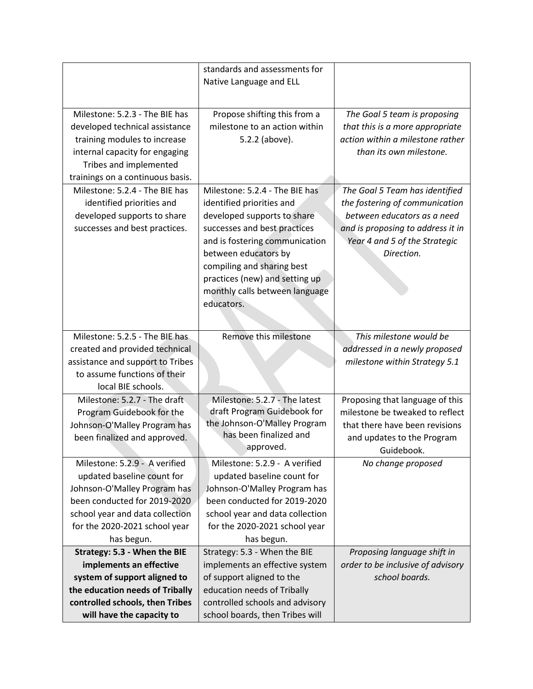|                                  | standards and assessments for   |                                   |
|----------------------------------|---------------------------------|-----------------------------------|
|                                  | Native Language and ELL         |                                   |
|                                  |                                 |                                   |
|                                  |                                 |                                   |
| Milestone: 5.2.3 - The BIE has   | Propose shifting this from a    | The Goal 5 team is proposing      |
| developed technical assistance   | milestone to an action within   | that this is a more appropriate   |
| training modules to increase     | 5.2.2 (above).                  | action within a milestone rather  |
| internal capacity for engaging   |                                 | than its own milestone.           |
| Tribes and implemented           |                                 |                                   |
| trainings on a continuous basis. |                                 |                                   |
| Milestone: 5.2.4 - The BIE has   | Milestone: 5.2.4 - The BIE has  | The Goal 5 Team has identified    |
| identified priorities and        | identified priorities and       | the fostering of communication    |
| developed supports to share      | developed supports to share     | between educators as a need       |
| successes and best practices.    | successes and best practices    | and is proposing to address it in |
|                                  | and is fostering communication  | Year 4 and 5 of the Strategic     |
|                                  | between educators by            | Direction.                        |
|                                  | compiling and sharing best      |                                   |
|                                  | practices (new) and setting up  |                                   |
|                                  | monthly calls between language  |                                   |
|                                  | educators.                      |                                   |
|                                  |                                 |                                   |
|                                  |                                 |                                   |
| Milestone: 5.2.5 - The BIE has   | Remove this milestone           | This milestone would be           |
| created and provided technical   |                                 | addressed in a newly proposed     |
| assistance and support to Tribes |                                 | milestone within Strategy 5.1     |
| to assume functions of their     |                                 |                                   |
| local BIE schools.               |                                 |                                   |
| Milestone: 5.2.7 - The draft     | Milestone: 5.2.7 - The latest   | Proposing that language of this   |
| Program Guidebook for the        | draft Program Guidebook for     | milestone be tweaked to reflect   |
| Johnson-O'Malley Program has     | the Johnson-O'Malley Program    | that there have been revisions    |
| been finalized and approved.     | has been finalized and          | and updates to the Program        |
|                                  | approved.                       | Guidebook.                        |
| Milestone: 5.2.9 - A verified    | Milestone: 5.2.9 - A verified   | No change proposed                |
| updated baseline count for       | updated baseline count for      |                                   |
| Johnson-O'Malley Program has     | Johnson-O'Malley Program has    |                                   |
| been conducted for 2019-2020     | been conducted for 2019-2020    |                                   |
| school year and data collection  | school year and data collection |                                   |
| for the 2020-2021 school year    | for the 2020-2021 school year   |                                   |
| has begun.                       | has begun.                      |                                   |
| Strategy: 5.3 - When the BIE     | Strategy: 5.3 - When the BIE    | Proposing language shift in       |
| implements an effective          | implements an effective system  | order to be inclusive of advisory |
| system of support aligned to     | of support aligned to the       | school boards.                    |
| the education needs of Tribally  | education needs of Tribally     |                                   |
| controlled schools, then Tribes  | controlled schools and advisory |                                   |
| will have the capacity to        | school boards, then Tribes will |                                   |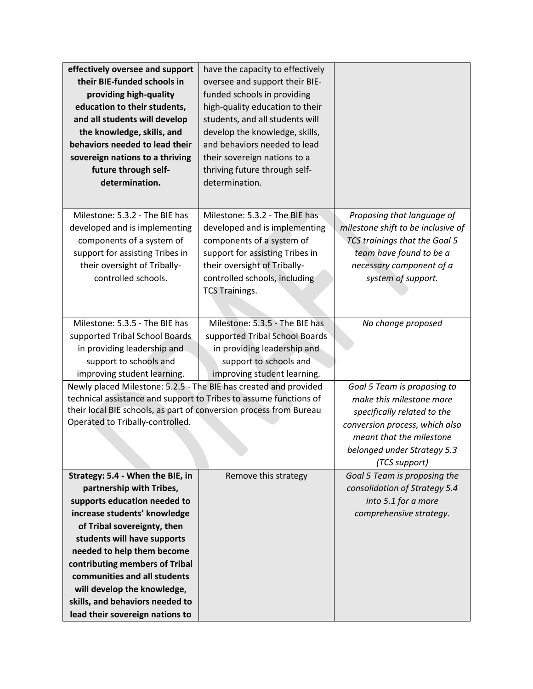| effectively oversee and support                                    | have the capacity to effectively |                                    |
|--------------------------------------------------------------------|----------------------------------|------------------------------------|
| their BIE-funded schools in                                        | oversee and support their BIE-   |                                    |
| providing high-quality                                             | funded schools in providing      |                                    |
| education to their students,                                       | high-quality education to their  |                                    |
| and all students will develop                                      | students, and all students will  |                                    |
| the knowledge, skills, and                                         | develop the knowledge, skills,   |                                    |
| behaviors needed to lead their                                     | and behaviors needed to lead     |                                    |
| sovereign nations to a thriving                                    | their sovereign nations to a     |                                    |
| future through self-                                               | thriving future through self-    |                                    |
| determination.                                                     | determination.                   |                                    |
|                                                                    |                                  |                                    |
| Milestone: 5.3.2 - The BIE has                                     | Milestone: 5.3.2 - The BIE has   | Proposing that language of         |
| developed and is implementing                                      | developed and is implementing    | milestone shift to be inclusive of |
| components of a system of                                          | components of a system of        | TCS trainings that the Goal 5      |
| support for assisting Tribes in                                    | support for assisting Tribes in  | team have found to be a            |
| their oversight of Tribally-                                       | their oversight of Tribally-     | necessary component of a           |
| controlled schools.                                                | controlled schools, including    | system of support.                 |
|                                                                    | <b>TCS Trainings.</b>            |                                    |
|                                                                    |                                  |                                    |
| Milestone: 5.3.5 - The BIE has                                     | Milestone: 5.3.5 - The BIE has   | No change proposed                 |
| supported Tribal School Boards                                     | supported Tribal School Boards   |                                    |
| in providing leadership and                                        | in providing leadership and      |                                    |
| support to schools and                                             | support to schools and           |                                    |
| improving student learning.                                        | improving student learning.      |                                    |
| Newly placed Milestone: 5.2.5 - The BIE has created and provided   |                                  | Goal 5 Team is proposing to        |
| technical assistance and support to Tribes to assume functions of  |                                  | make this milestone more           |
| their local BIE schools, as part of conversion process from Bureau |                                  | specifically related to the        |
| Operated to Tribally-controlled.                                   |                                  | conversion process, which also     |
|                                                                    |                                  | meant that the milestone           |
|                                                                    |                                  | belonged under Strategy 5.3        |
|                                                                    |                                  | (TCS support)                      |
| Strategy: 5.4 - When the BIE, in                                   | Remove this strategy             | Goal 5 Team is proposing the       |
| partnership with Tribes,                                           |                                  | consolidation of Strategy 5.4      |
| supports education needed to                                       |                                  | into 5.1 for a more                |
| increase students' knowledge                                       |                                  | comprehensive strategy.            |
| of Tribal sovereignty, then                                        |                                  |                                    |
| students will have supports                                        |                                  |                                    |
| needed to help them become                                         |                                  |                                    |
| contributing members of Tribal                                     |                                  |                                    |
| communities and all students                                       |                                  |                                    |
| will develop the knowledge,                                        |                                  |                                    |
| skills, and behaviors needed to                                    |                                  |                                    |
| lead their sovereign nations to                                    |                                  |                                    |